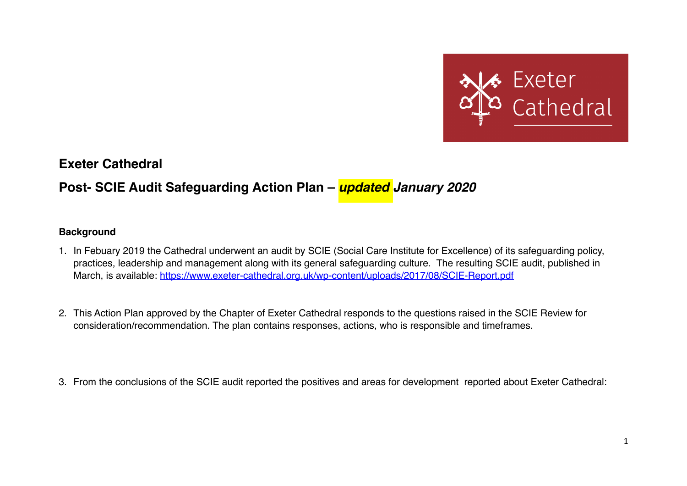

**Exeter Cathedral** 

## **Post- SCIE Audit Safeguarding Action Plan –** *updated January 2020*

## **Background**

- 1. In Febuary 2019 the Cathedral underwent an audit by SCIE (Social Care Institute for Excellence) of its safeguarding policy, practices, leadership and management along with its general safeguarding culture. The resulting SCIE audit, published in March, is available:<https://www.exeter-cathedral.org.uk/wp-content/uploads/2017/08/SCIE-Report.pdf>
- 2. This Action Plan approved by the Chapter of Exeter Cathedral responds to the questions raised in the SCIE Review for consideration/recommendation. The plan contains responses, actions, who is responsible and timeframes.
- 3. From the conclusions of the SCIE audit reported the positives and areas for development reported about Exeter Cathedral: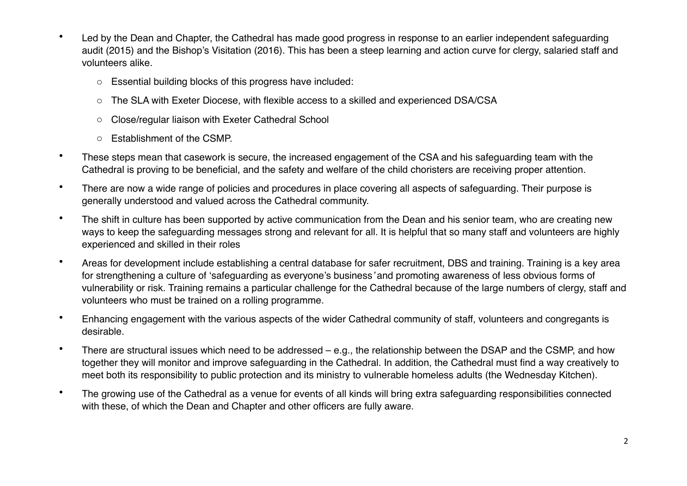- Led by the Dean and Chapter, the Cathedral has made good progress in response to an earlier independent safeguarding audit (2015) and the Bishop's Visitation (2016). This has been a steep learning and action curve for clergy, salaried staff and volunteers alike.
	- o Essential building blocks of this progress have included:
	- o The SLA with Exeter Diocese, with flexible access to a skilled and experienced DSA/CSA
	- o Close/regular liaison with Exeter Cathedral School
	- o Establishment of the CSMP.
- These steps mean that casework is secure, the increased engagement of the CSA and his safeguarding team with the Cathedral is proving to be beneficial, and the safety and welfare of the child choristers are receiving proper attention.
- There are now a wide range of policies and procedures in place covering all aspects of safeguarding. Their purpose is generally understood and valued across the Cathedral community.
- The shift in culture has been supported by active communication from the Dean and his senior team, who are creating new ways to keep the safeguarding messages strong and relevant for all. It is helpful that so many staff and volunteers are highly experienced and skilled in their roles
- Areas for development include establishing a central database for safer recruitment, DBS and training. Training is a key area for strengthening a culture of 'safeguarding as everyone's business*'* and promoting awareness of less obvious forms of vulnerability or risk. Training remains a particular challenge for the Cathedral because of the large numbers of clergy, staff and volunteers who must be trained on a rolling programme.
- Enhancing engagement with the various aspects of the wider Cathedral community of staff, volunteers and congregants is desirable.
- There are structural issues which need to be addressed e.g., the relationship between the DSAP and the CSMP, and how together they will monitor and improve safeguarding in the Cathedral. In addition, the Cathedral must find a way creatively to meet both its responsibility to public protection and its ministry to vulnerable homeless adults (the Wednesday Kitchen).
- The growing use of the Cathedral as a venue for events of all kinds will bring extra safeguarding responsibilities connected with these, of which the Dean and Chapter and other officers are fully aware.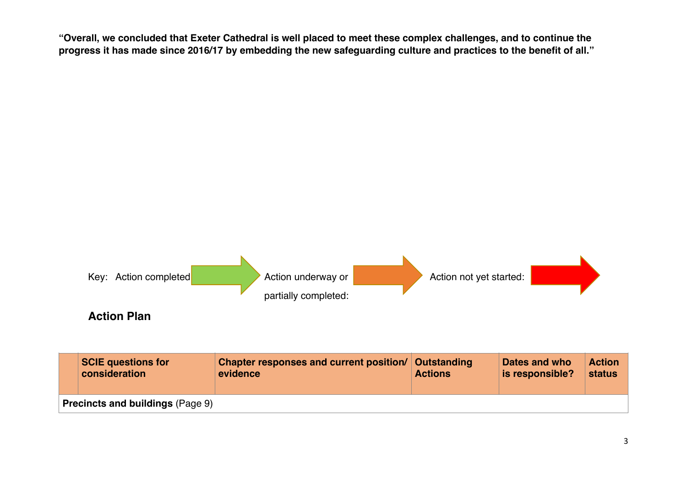**"Overall, we concluded that Exeter Cathedral is well placed to meet these complex challenges, and to continue the progress it has made since 2016/17 by embedding the new safeguarding culture and practices to the benefit of all."**



3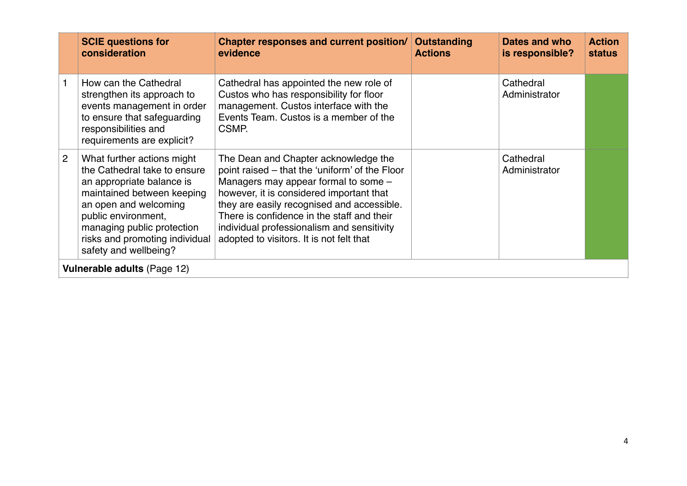|                | <b>SCIE questions for</b><br>consideration                                                                                                                                                                                                                     | Chapter responses and current position/<br>evidence                                                                                                                                                                                                                                                                                                              | Outstanding<br><b>Actions</b> | Dates and who<br>is responsible? | <b>Action</b><br><b>status</b> |
|----------------|----------------------------------------------------------------------------------------------------------------------------------------------------------------------------------------------------------------------------------------------------------------|------------------------------------------------------------------------------------------------------------------------------------------------------------------------------------------------------------------------------------------------------------------------------------------------------------------------------------------------------------------|-------------------------------|----------------------------------|--------------------------------|
|                | How can the Cathedral<br>strengthen its approach to<br>events management in order<br>to ensure that safeguarding<br>responsibilities and<br>requirements are explicit?                                                                                         | Cathedral has appointed the new role of<br>Custos who has responsibility for floor<br>management. Custos interface with the<br>Events Team. Custos is a member of the<br>CSMP.                                                                                                                                                                                   |                               | Cathedral<br>Administrator       |                                |
| $\overline{2}$ | What further actions might<br>the Cathedral take to ensure<br>an appropriate balance is<br>maintained between keeping<br>an open and welcoming<br>public environment,<br>managing public protection<br>risks and promoting individual<br>safety and wellbeing? | The Dean and Chapter acknowledge the<br>point raised – that the 'uniform' of the Floor<br>Managers may appear formal to some -<br>however, it is considered important that<br>they are easily recognised and accessible.<br>There is confidence in the staff and their<br>individual professionalism and sensitivity<br>adopted to visitors. It is not felt that |                               | Cathedral<br>Administrator       |                                |
|                | Vulnerable adults (Page 12)                                                                                                                                                                                                                                    |                                                                                                                                                                                                                                                                                                                                                                  |                               |                                  |                                |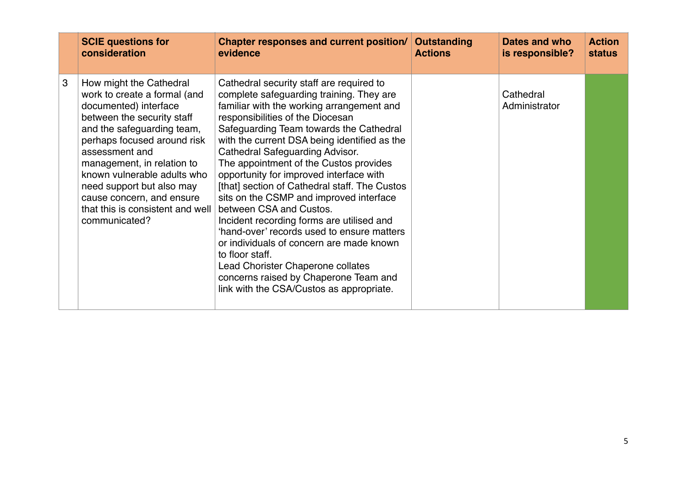|   | <b>SCIE questions for</b>                                                                                                                                                                                                                                                                                                                                                 | Chapter responses and current position/                                                                                                                                                                                                                                                                                                                                                                                                                                                                                                                                                                                                                                                                                                                                                                    | Outstanding    | Dates and who              | <b>Action</b> |
|---|---------------------------------------------------------------------------------------------------------------------------------------------------------------------------------------------------------------------------------------------------------------------------------------------------------------------------------------------------------------------------|------------------------------------------------------------------------------------------------------------------------------------------------------------------------------------------------------------------------------------------------------------------------------------------------------------------------------------------------------------------------------------------------------------------------------------------------------------------------------------------------------------------------------------------------------------------------------------------------------------------------------------------------------------------------------------------------------------------------------------------------------------------------------------------------------------|----------------|----------------------------|---------------|
|   | consideration                                                                                                                                                                                                                                                                                                                                                             | evidence                                                                                                                                                                                                                                                                                                                                                                                                                                                                                                                                                                                                                                                                                                                                                                                                   | <b>Actions</b> | is responsible?            | <b>status</b> |
| 3 | How might the Cathedral<br>work to create a formal (and<br>documented) interface<br>between the security staff<br>and the safeguarding team,<br>perhaps focused around risk<br>assessment and<br>management, in relation to<br>known vulnerable adults who<br>need support but also may<br>cause concern, and ensure<br>that this is consistent and well<br>communicated? | Cathedral security staff are required to<br>complete safeguarding training. They are<br>familiar with the working arrangement and<br>responsibilities of the Diocesan<br>Safeguarding Team towards the Cathedral<br>with the current DSA being identified as the<br><b>Cathedral Safeguarding Advisor.</b><br>The appointment of the Custos provides<br>opportunity for improved interface with<br>[that] section of Cathedral staff. The Custos<br>sits on the CSMP and improved interface<br>between CSA and Custos.<br>Incident recording forms are utilised and<br>'hand-over' records used to ensure matters<br>or individuals of concern are made known<br>to floor staff.<br>Lead Chorister Chaperone collates<br>concerns raised by Chaperone Team and<br>link with the CSA/Custos as appropriate. |                | Cathedral<br>Administrator |               |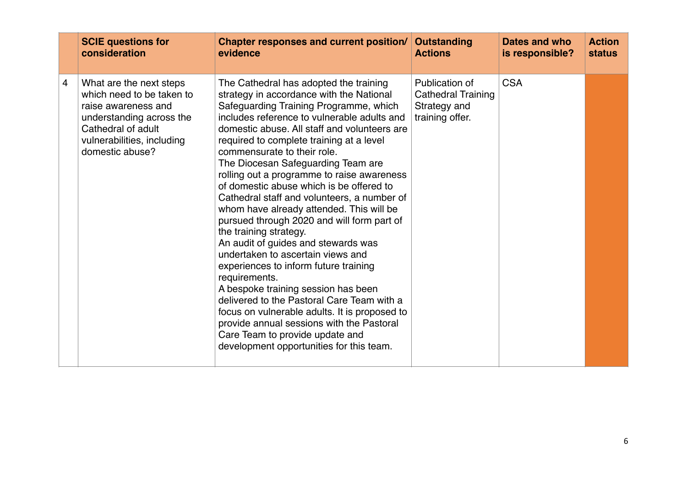|   | <b>SCIE questions for</b>                                                                                                                                                      | Chapter responses and current position/                                                                                                                                                                                                                                                                                                                                                                                                                                                                                                                                                                                                                                                                                                                                                                                                                                                                                                                                                                           | <b>Outstanding</b>                                                             | Dates and who   | <b>Action</b> |
|---|--------------------------------------------------------------------------------------------------------------------------------------------------------------------------------|-------------------------------------------------------------------------------------------------------------------------------------------------------------------------------------------------------------------------------------------------------------------------------------------------------------------------------------------------------------------------------------------------------------------------------------------------------------------------------------------------------------------------------------------------------------------------------------------------------------------------------------------------------------------------------------------------------------------------------------------------------------------------------------------------------------------------------------------------------------------------------------------------------------------------------------------------------------------------------------------------------------------|--------------------------------------------------------------------------------|-----------------|---------------|
|   | consideration                                                                                                                                                                  | evidence                                                                                                                                                                                                                                                                                                                                                                                                                                                                                                                                                                                                                                                                                                                                                                                                                                                                                                                                                                                                          | <b>Actions</b>                                                                 | is responsible? | <b>status</b> |
| 4 | What are the next steps<br>which need to be taken to<br>raise awareness and<br>understanding across the<br>Cathedral of adult<br>vulnerabilities, including<br>domestic abuse? | The Cathedral has adopted the training<br>strategy in accordance with the National<br>Safeguarding Training Programme, which<br>includes reference to vulnerable adults and<br>domestic abuse. All staff and volunteers are<br>required to complete training at a level<br>commensurate to their role.<br>The Diocesan Safeguarding Team are<br>rolling out a programme to raise awareness<br>of domestic abuse which is be offered to<br>Cathedral staff and volunteers, a number of<br>whom have already attended. This will be<br>pursued through 2020 and will form part of<br>the training strategy.<br>An audit of guides and stewards was<br>undertaken to ascertain views and<br>experiences to inform future training<br>requirements.<br>A bespoke training session has been<br>delivered to the Pastoral Care Team with a<br>focus on vulnerable adults. It is proposed to<br>provide annual sessions with the Pastoral<br>Care Team to provide update and<br>development opportunities for this team. | Publication of<br><b>Cathedral Training</b><br>Strategy and<br>training offer. | <b>CSA</b>      |               |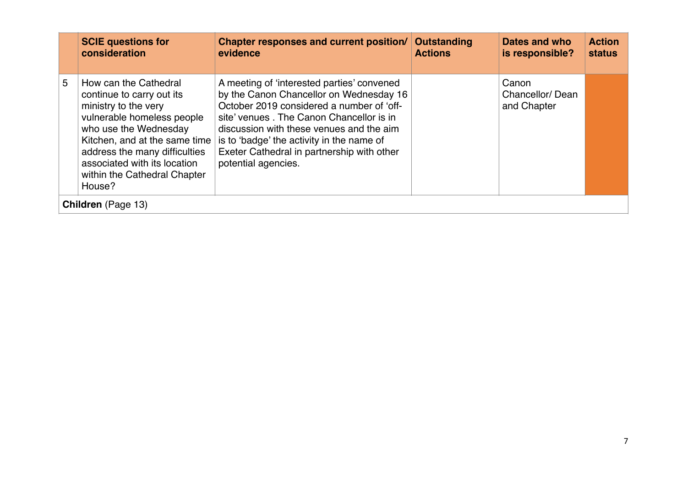|   | <b>SCIE questions for</b><br>consideration                                                                                                                                                                                                                                    | Chapter responses and current position/<br>evidence                                                                                                                                                                                                                                                                                          | Outstanding<br><b>Actions</b> | Dates and who<br>is responsible?        | <b>Action</b><br><b>status</b> |
|---|-------------------------------------------------------------------------------------------------------------------------------------------------------------------------------------------------------------------------------------------------------------------------------|----------------------------------------------------------------------------------------------------------------------------------------------------------------------------------------------------------------------------------------------------------------------------------------------------------------------------------------------|-------------------------------|-----------------------------------------|--------------------------------|
| 5 | How can the Cathedral<br>continue to carry out its<br>ministry to the very<br>vulnerable homeless people<br>who use the Wednesday<br>Kitchen, and at the same time<br>address the many difficulties<br>associated with its location<br>within the Cathedral Chapter<br>House? | A meeting of 'interested parties' convened<br>by the Canon Chancellor on Wednesday 16<br>October 2019 considered a number of 'off-<br>site' venues. The Canon Chancellor is in<br>discussion with these venues and the aim<br>is to 'badge' the activity in the name of<br>Exeter Cathedral in partnership with other<br>potential agencies. |                               | Canon<br>Chancellor/Dean<br>and Chapter |                                |
|   | <b>Children</b> (Page 13)                                                                                                                                                                                                                                                     |                                                                                                                                                                                                                                                                                                                                              |                               |                                         |                                |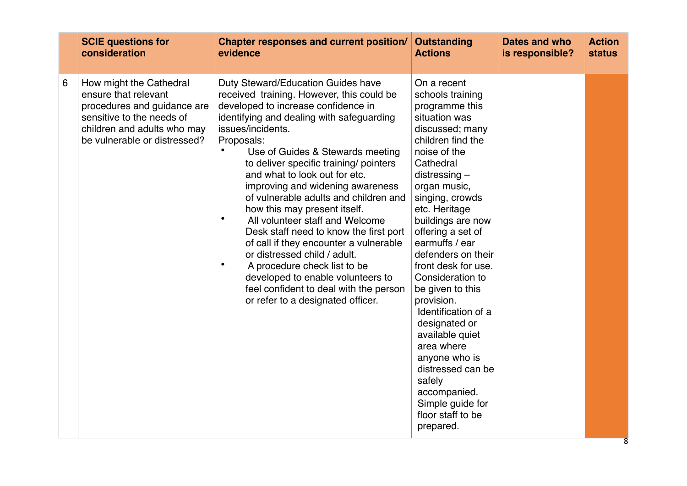|   | <b>SCIE questions for</b>                                                                                                                                                  | <b>Chapter responses and current position/</b>                                                                                                                                                                                                                                                                                                                                                                                                                                                                                                                                                                                                                                                                                                                                       | <b>Outstanding</b>                                                                                                                                                                                                                                                                                                                                                                                                                                                                                                                                                             | Dates and who   | <b>Action</b> |
|---|----------------------------------------------------------------------------------------------------------------------------------------------------------------------------|--------------------------------------------------------------------------------------------------------------------------------------------------------------------------------------------------------------------------------------------------------------------------------------------------------------------------------------------------------------------------------------------------------------------------------------------------------------------------------------------------------------------------------------------------------------------------------------------------------------------------------------------------------------------------------------------------------------------------------------------------------------------------------------|--------------------------------------------------------------------------------------------------------------------------------------------------------------------------------------------------------------------------------------------------------------------------------------------------------------------------------------------------------------------------------------------------------------------------------------------------------------------------------------------------------------------------------------------------------------------------------|-----------------|---------------|
|   | consideration                                                                                                                                                              | evidence                                                                                                                                                                                                                                                                                                                                                                                                                                                                                                                                                                                                                                                                                                                                                                             | <b>Actions</b>                                                                                                                                                                                                                                                                                                                                                                                                                                                                                                                                                                 | is responsible? | <b>status</b> |
| 6 | How might the Cathedral<br>ensure that relevant<br>procedures and guidance are<br>sensitive to the needs of<br>children and adults who may<br>be vulnerable or distressed? | Duty Steward/Education Guides have<br>received training. However, this could be<br>developed to increase confidence in<br>identifying and dealing with safeguarding<br>issues/incidents.<br>Proposals:<br>$\bullet$<br>Use of Guides & Stewards meeting<br>to deliver specific training/ pointers<br>and what to look out for etc.<br>improving and widening awareness<br>of vulnerable adults and children and<br>how this may present itself.<br>$\bullet$<br>All volunteer staff and Welcome<br>Desk staff need to know the first port<br>of call if they encounter a vulnerable<br>or distressed child / adult.<br>$\bullet$<br>A procedure check list to be<br>developed to enable volunteers to<br>feel confident to deal with the person<br>or refer to a designated officer. | On a recent<br>schools training<br>programme this<br>situation was<br>discussed; many<br>children find the<br>noise of the<br>Cathedral<br>$distributions -$<br>organ music,<br>singing, crowds<br>etc. Heritage<br>buildings are now<br>offering a set of<br>earmuffs / ear<br>defenders on their<br>front desk for use.<br>Consideration to<br>be given to this<br>provision.<br>Identification of a<br>designated or<br>available quiet<br>area where<br>anyone who is<br>distressed can be<br>safely<br>accompanied.<br>Simple guide for<br>floor staff to be<br>prepared. |                 |               |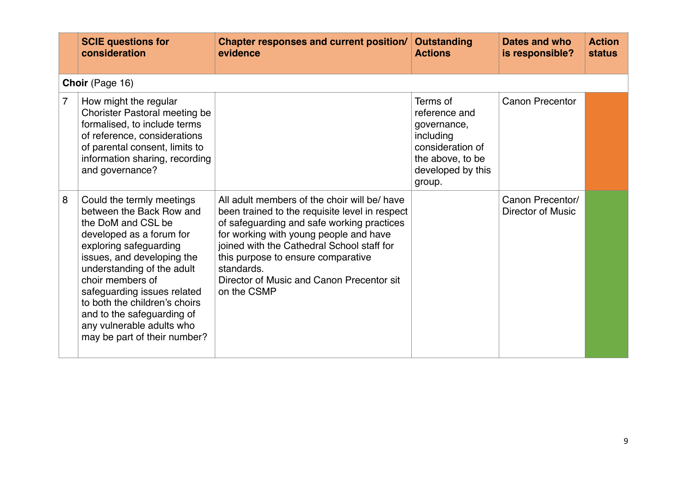| <b>SCIE questions for</b><br>consideration                                                                                                                                                                                                                                                                                                                                        | Chapter responses and current position/<br>evidence                                                                                                                                                                                                                                                                                                  | Outstanding<br><b>Actions</b>                                                                                                | Dates and who<br>is responsible?      | <b>Action</b><br><b>status</b> |
|-----------------------------------------------------------------------------------------------------------------------------------------------------------------------------------------------------------------------------------------------------------------------------------------------------------------------------------------------------------------------------------|------------------------------------------------------------------------------------------------------------------------------------------------------------------------------------------------------------------------------------------------------------------------------------------------------------------------------------------------------|------------------------------------------------------------------------------------------------------------------------------|---------------------------------------|--------------------------------|
| Choir (Page 16)                                                                                                                                                                                                                                                                                                                                                                   |                                                                                                                                                                                                                                                                                                                                                      |                                                                                                                              |                                       |                                |
| 7<br>How might the regular<br>Chorister Pastoral meeting be<br>formalised, to include terms<br>of reference, considerations<br>of parental consent, limits to<br>information sharing, recording<br>and governance?                                                                                                                                                                |                                                                                                                                                                                                                                                                                                                                                      | Terms of<br>reference and<br>governance,<br>including<br>consideration of<br>the above, to be<br>developed by this<br>group. | <b>Canon Precentor</b>                |                                |
| 8<br>Could the termly meetings<br>between the Back Row and<br>the DoM and CSL be<br>developed as a forum for<br>exploring safeguarding<br>issues, and developing the<br>understanding of the adult<br>choir members of<br>safeguarding issues related<br>to both the children's choirs<br>and to the safeguarding of<br>any vulnerable adults who<br>may be part of their number? | All adult members of the choir will be/ have<br>been trained to the requisite level in respect<br>of safeguarding and safe working practices<br>for working with young people and have<br>joined with the Cathedral School staff for<br>this purpose to ensure comparative<br>standards.<br>Director of Music and Canon Precentor sit<br>on the CSMP |                                                                                                                              | Canon Precentor/<br>Director of Music |                                |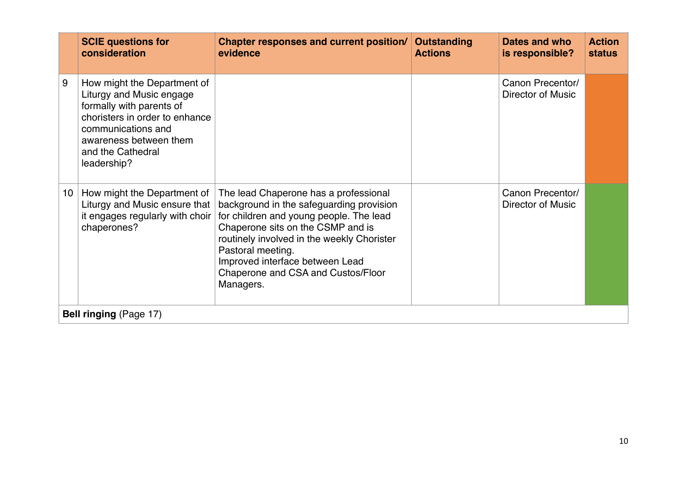|    | <b>SCIE questions for</b><br>consideration                                                                                                                                                                | <b>Chapter responses and current position/</b><br>evidence                                                                                                                                                                                                                                                                 | Outstanding<br><b>Actions</b> | Dates and who<br>is responsible?      | <b>Action</b><br><b>status</b> |
|----|-----------------------------------------------------------------------------------------------------------------------------------------------------------------------------------------------------------|----------------------------------------------------------------------------------------------------------------------------------------------------------------------------------------------------------------------------------------------------------------------------------------------------------------------------|-------------------------------|---------------------------------------|--------------------------------|
| 9  | How might the Department of<br>Liturgy and Music engage<br>formally with parents of<br>choristers in order to enhance<br>communications and<br>awareness between them<br>and the Cathedral<br>leadership? |                                                                                                                                                                                                                                                                                                                            |                               | Canon Precentor/<br>Director of Music |                                |
| 10 | How might the Department of<br>Liturgy and Music ensure that<br>it engages regularly with choir<br>chaperones?                                                                                            | The lead Chaperone has a professional<br>background in the safeguarding provision<br>for children and young people. The lead<br>Chaperone sits on the CSMP and is<br>routinely involved in the weekly Chorister<br>Pastoral meeting.<br>Improved interface between Lead<br>Chaperone and CSA and Custos/Floor<br>Managers. |                               | Canon Precentor/<br>Director of Music |                                |
|    | <b>Bell ringing (Page 17)</b>                                                                                                                                                                             |                                                                                                                                                                                                                                                                                                                            |                               |                                       |                                |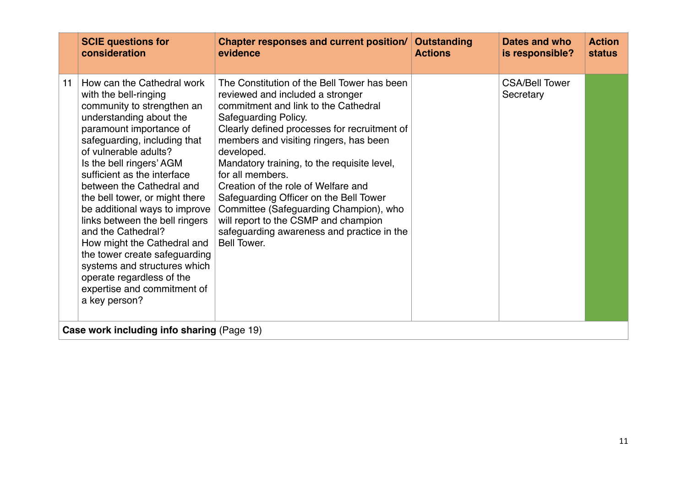|    | <b>SCIE questions for</b><br>consideration                                                                                                                                                                                                                                                                                                                                                                                                                                                                                                                                                       | Chapter responses and current position/<br>evidence                                                                                                                                                                                                                                                                                                                                                                                                                                                                                                               | <b>Outstanding</b><br><b>Actions</b> | Dates and who<br>is responsible?   | <b>Action</b><br><b>status</b> |
|----|--------------------------------------------------------------------------------------------------------------------------------------------------------------------------------------------------------------------------------------------------------------------------------------------------------------------------------------------------------------------------------------------------------------------------------------------------------------------------------------------------------------------------------------------------------------------------------------------------|-------------------------------------------------------------------------------------------------------------------------------------------------------------------------------------------------------------------------------------------------------------------------------------------------------------------------------------------------------------------------------------------------------------------------------------------------------------------------------------------------------------------------------------------------------------------|--------------------------------------|------------------------------------|--------------------------------|
| 11 | How can the Cathedral work<br>with the bell-ringing<br>community to strengthen an<br>understanding about the<br>paramount importance of<br>safeguarding, including that<br>of vulnerable adults?<br>Is the bell ringers' AGM<br>sufficient as the interface<br>between the Cathedral and<br>the bell tower, or might there<br>be additional ways to improve<br>links between the bell ringers<br>and the Cathedral?<br>How might the Cathedral and<br>the tower create safeguarding<br>systems and structures which<br>operate regardless of the<br>expertise and commitment of<br>a key person? | The Constitution of the Bell Tower has been<br>reviewed and included a stronger<br>commitment and link to the Cathedral<br>Safeguarding Policy.<br>Clearly defined processes for recruitment of<br>members and visiting ringers, has been<br>developed.<br>Mandatory training, to the requisite level,<br>for all members.<br>Creation of the role of Welfare and<br>Safeguarding Officer on the Bell Tower<br>Committee (Safeguarding Champion), who<br>will report to the CSMP and champion<br>safeguarding awareness and practice in the<br><b>Bell Tower.</b> |                                      | <b>CSA/Bell Tower</b><br>Secretary |                                |
|    | Case work including info sharing (Page 19)                                                                                                                                                                                                                                                                                                                                                                                                                                                                                                                                                       |                                                                                                                                                                                                                                                                                                                                                                                                                                                                                                                                                                   |                                      |                                    |                                |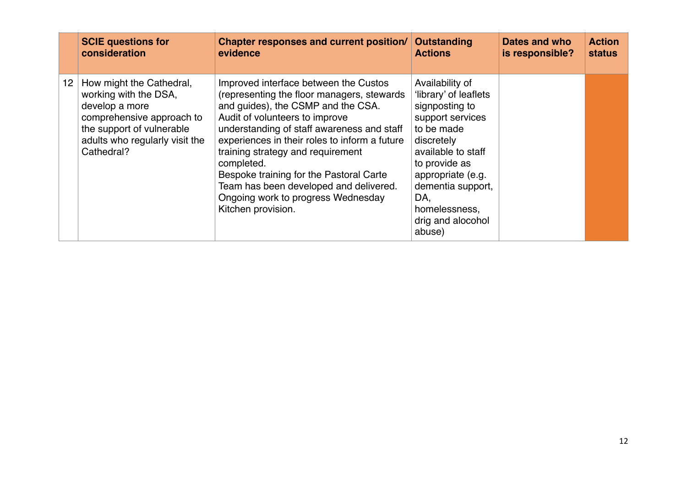|                   | <b>SCIE questions for</b>                                                                                                                                                     | Chapter responses and current position/                                                                                                                                                                                                                                                                                                                                                                                                                        | <b>Outstanding</b>                                                                                                                                                                                                                                 | Dates and who   | <b>Action</b> |
|-------------------|-------------------------------------------------------------------------------------------------------------------------------------------------------------------------------|----------------------------------------------------------------------------------------------------------------------------------------------------------------------------------------------------------------------------------------------------------------------------------------------------------------------------------------------------------------------------------------------------------------------------------------------------------------|----------------------------------------------------------------------------------------------------------------------------------------------------------------------------------------------------------------------------------------------------|-----------------|---------------|
|                   | consideration                                                                                                                                                                 | evidence                                                                                                                                                                                                                                                                                                                                                                                                                                                       | <b>Actions</b>                                                                                                                                                                                                                                     | is responsible? | <b>status</b> |
| $12 \overline{ }$ | How might the Cathedral,<br>working with the DSA,<br>develop a more<br>comprehensive approach to<br>the support of vulnerable<br>adults who regularly visit the<br>Cathedral? | Improved interface between the Custos<br>(representing the floor managers, stewards<br>and guides), the CSMP and the CSA.<br>Audit of volunteers to improve<br>understanding of staff awareness and staff<br>experiences in their roles to inform a future<br>training strategy and requirement<br>completed.<br>Bespoke training for the Pastoral Carte<br>Team has been developed and delivered.<br>Ongoing work to progress Wednesday<br>Kitchen provision. | Availability of<br>'library' of leaflets<br>signposting to<br>support services<br>to be made<br>discretely<br>available to staff<br>to provide as<br>appropriate (e.g.<br>dementia support,<br>DA,<br>homelessness,<br>drig and alocohol<br>abuse) |                 |               |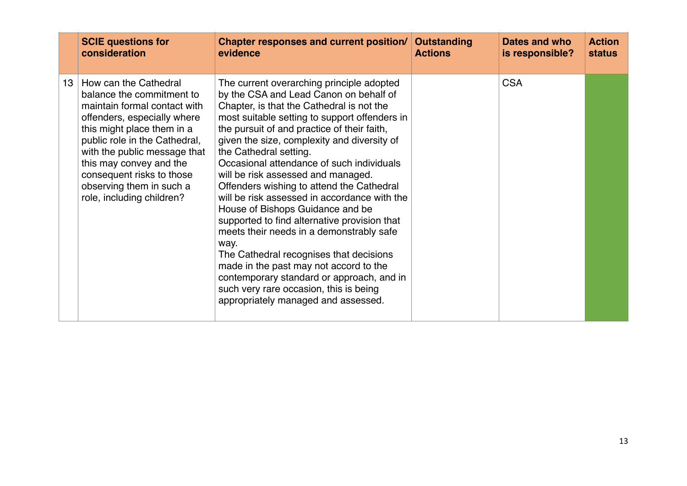|    | <b>SCIE questions for</b><br>consideration                                                                                                                                                                                                                                                                                        | Chapter responses and current position/ Outstanding<br>evidence                                                                                                                                                                                                                                                                                                                                                                                                                                                                                                                                                                                                                                                                                                                                                                                      | <b>Actions</b> | Dates and who<br>is responsible? | <b>Action</b><br><b>status</b> |
|----|-----------------------------------------------------------------------------------------------------------------------------------------------------------------------------------------------------------------------------------------------------------------------------------------------------------------------------------|------------------------------------------------------------------------------------------------------------------------------------------------------------------------------------------------------------------------------------------------------------------------------------------------------------------------------------------------------------------------------------------------------------------------------------------------------------------------------------------------------------------------------------------------------------------------------------------------------------------------------------------------------------------------------------------------------------------------------------------------------------------------------------------------------------------------------------------------------|----------------|----------------------------------|--------------------------------|
| 13 | How can the Cathedral<br>balance the commitment to<br>maintain formal contact with<br>offenders, especially where<br>this might place them in a<br>public role in the Cathedral,<br>with the public message that<br>this may convey and the<br>consequent risks to those<br>observing them in such a<br>role, including children? | The current overarching principle adopted<br>by the CSA and Lead Canon on behalf of<br>Chapter, is that the Cathedral is not the<br>most suitable setting to support offenders in<br>the pursuit of and practice of their faith,<br>given the size, complexity and diversity of<br>the Cathedral setting.<br>Occasional attendance of such individuals<br>will be risk assessed and managed.<br>Offenders wishing to attend the Cathedral<br>will be risk assessed in accordance with the<br>House of Bishops Guidance and be<br>supported to find alternative provision that<br>meets their needs in a demonstrably safe<br>way.<br>The Cathedral recognises that decisions<br>made in the past may not accord to the<br>contemporary standard or approach, and in<br>such very rare occasion, this is being<br>appropriately managed and assessed. |                | <b>CSA</b>                       |                                |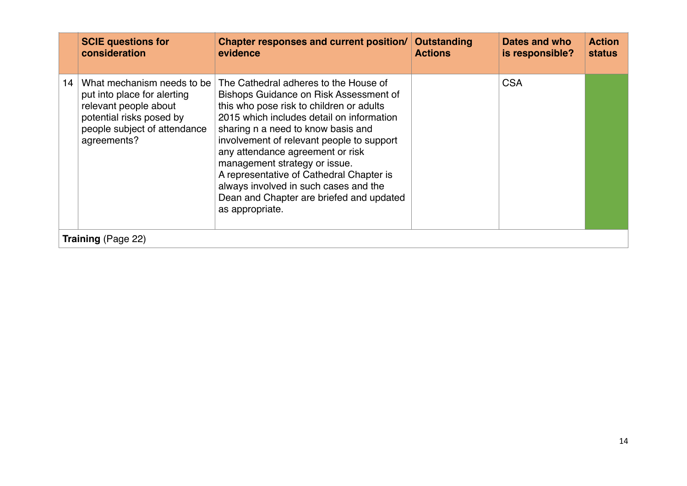|    | <b>SCIE questions for</b><br>consideration                                                                                                                    | Chapter responses and current position/<br>evidence                                                                                                                                                                                                                                                                                                                                                                                                                                  | Outstanding<br><b>Actions</b> | Dates and who<br>is responsible? | <b>Action</b><br><b>status</b> |
|----|---------------------------------------------------------------------------------------------------------------------------------------------------------------|--------------------------------------------------------------------------------------------------------------------------------------------------------------------------------------------------------------------------------------------------------------------------------------------------------------------------------------------------------------------------------------------------------------------------------------------------------------------------------------|-------------------------------|----------------------------------|--------------------------------|
| 14 | What mechanism needs to be<br>put into place for alerting<br>relevant people about<br>potential risks posed by<br>people subject of attendance<br>agreements? | The Cathedral adheres to the House of<br>Bishops Guidance on Risk Assessment of<br>this who pose risk to children or adults<br>2015 which includes detail on information<br>sharing n a need to know basis and<br>involvement of relevant people to support<br>any attendance agreement or risk<br>management strategy or issue.<br>A representative of Cathedral Chapter is<br>always involved in such cases and the<br>Dean and Chapter are briefed and updated<br>as appropriate. |                               | <b>CSA</b>                       |                                |
|    | <b>Training</b> (Page 22)                                                                                                                                     |                                                                                                                                                                                                                                                                                                                                                                                                                                                                                      |                               |                                  |                                |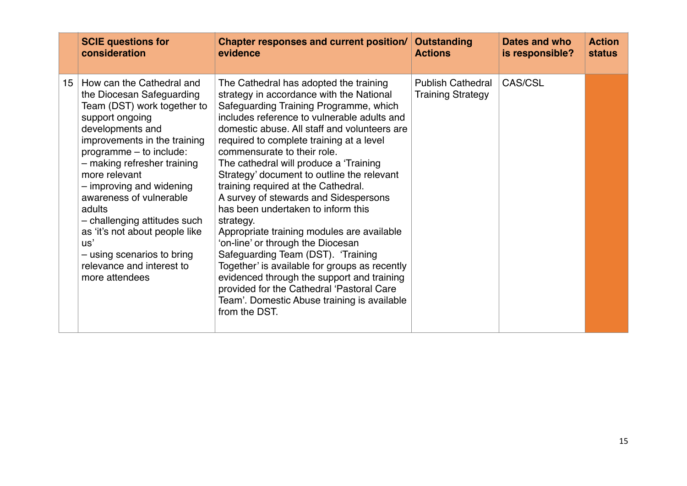|                 | <b>SCIE questions for</b>                                                                                                                                                                                                                                                                                                                                                                                                                                      | Chapter responses and current position/                                                                                                                                                                                                                                                                                                                                                                                                                                                                                                                                                                                                                                                                                                                                                                                                                                 | <b>Outstanding</b>                                   | Dates and who   | <b>Action</b> |
|-----------------|----------------------------------------------------------------------------------------------------------------------------------------------------------------------------------------------------------------------------------------------------------------------------------------------------------------------------------------------------------------------------------------------------------------------------------------------------------------|-------------------------------------------------------------------------------------------------------------------------------------------------------------------------------------------------------------------------------------------------------------------------------------------------------------------------------------------------------------------------------------------------------------------------------------------------------------------------------------------------------------------------------------------------------------------------------------------------------------------------------------------------------------------------------------------------------------------------------------------------------------------------------------------------------------------------------------------------------------------------|------------------------------------------------------|-----------------|---------------|
|                 | consideration                                                                                                                                                                                                                                                                                                                                                                                                                                                  | evidence                                                                                                                                                                                                                                                                                                                                                                                                                                                                                                                                                                                                                                                                                                                                                                                                                                                                | <b>Actions</b>                                       | is responsible? | <b>status</b> |
| 15 <sub>1</sub> | How can the Cathedral and<br>the Diocesan Safeguarding<br>Team (DST) work together to<br>support ongoing<br>developments and<br>improvements in the training<br>programme - to include:<br>- making refresher training<br>more relevant<br>- improving and widening<br>awareness of vulnerable<br>adults<br>- challenging attitudes such<br>as 'it's not about people like<br>US'<br>- using scenarios to bring<br>relevance and interest to<br>more attendees | The Cathedral has adopted the training<br>strategy in accordance with the National<br>Safeguarding Training Programme, which<br>includes reference to vulnerable adults and<br>domestic abuse. All staff and volunteers are<br>required to complete training at a level<br>commensurate to their role.<br>The cathedral will produce a 'Training'<br>Strategy' document to outline the relevant<br>training required at the Cathedral.<br>A survey of stewards and Sidespersons<br>has been undertaken to inform this<br>strategy.<br>Appropriate training modules are available<br>'on-line' or through the Diocesan<br>Safeguarding Team (DST). 'Training<br>Together' is available for groups as recently<br>evidenced through the support and training<br>provided for the Cathedral 'Pastoral Care<br>Team'. Domestic Abuse training is available<br>from the DST. | <b>Publish Cathedral</b><br><b>Training Strategy</b> | CAS/CSL         |               |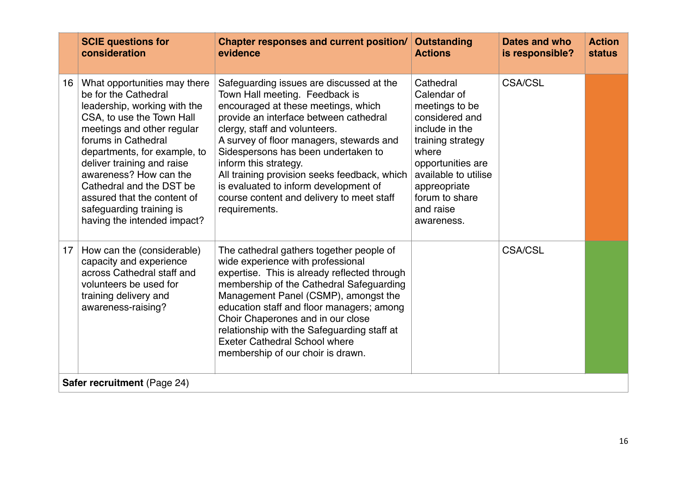|    | <b>SCIE questions for</b><br>consideration                                                                                                                                                                                                                                                                                                                                           | <b>Chapter responses and current position/</b><br>evidence                                                                                                                                                                                                                                                                                                                                                                                                      | <b>Outstanding</b><br><b>Actions</b>                                                                                                                                                                                   | Dates and who<br>is responsible? | <b>Action</b><br><b>status</b> |
|----|--------------------------------------------------------------------------------------------------------------------------------------------------------------------------------------------------------------------------------------------------------------------------------------------------------------------------------------------------------------------------------------|-----------------------------------------------------------------------------------------------------------------------------------------------------------------------------------------------------------------------------------------------------------------------------------------------------------------------------------------------------------------------------------------------------------------------------------------------------------------|------------------------------------------------------------------------------------------------------------------------------------------------------------------------------------------------------------------------|----------------------------------|--------------------------------|
| 16 | What opportunities may there<br>be for the Cathedral<br>leadership, working with the<br>CSA, to use the Town Hall<br>meetings and other regular<br>forums in Cathedral<br>departments, for example, to<br>deliver training and raise<br>awareness? How can the<br>Cathedral and the DST be<br>assured that the content of<br>safeguarding training is<br>having the intended impact? | Safeguarding issues are discussed at the<br>Town Hall meeting. Feedback is<br>encouraged at these meetings, which<br>provide an interface between cathedral<br>clergy, staff and volunteers.<br>A survey of floor managers, stewards and<br>Sidespersons has been undertaken to<br>inform this strategy.<br>All training provision seeks feedback, which<br>is evaluated to inform development of<br>course content and delivery to meet staff<br>requirements. | Cathedral<br>Calendar of<br>meetings to be<br>considered and<br>include in the<br>training strategy<br>where<br>opportunities are<br>available to utilise<br>appreopriate<br>forum to share<br>and raise<br>awareness. | <b>CSA/CSL</b>                   |                                |
| 17 | How can the (considerable)<br>capacity and experience<br>across Cathedral staff and<br>volunteers be used for<br>training delivery and<br>awareness-raising?                                                                                                                                                                                                                         | The cathedral gathers together people of<br>wide experience with professional<br>expertise. This is already reflected through<br>membership of the Cathedral Safeguarding<br>Management Panel (CSMP), amongst the<br>education staff and floor managers; among<br>Choir Chaperones and in our close<br>relationship with the Safeguarding staff at<br><b>Exeter Cathedral School where</b><br>membership of our choir is drawn.                                 |                                                                                                                                                                                                                        | <b>CSA/CSL</b>                   |                                |
|    | Safer recruitment (Page 24)                                                                                                                                                                                                                                                                                                                                                          |                                                                                                                                                                                                                                                                                                                                                                                                                                                                 |                                                                                                                                                                                                                        |                                  |                                |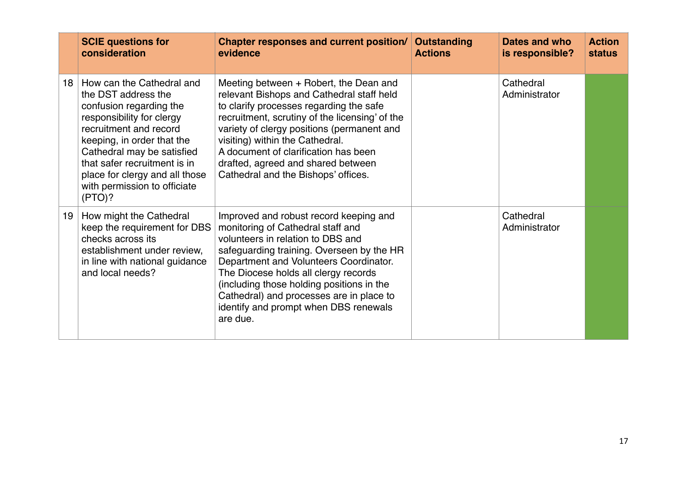|    | <b>SCIE questions for</b><br>consideration                                                                                                                                                                                                                                                                 | Chapter responses and current position/<br>evidence                                                                                                                                                                                                                                                                                                                                           | <b>Outstanding</b><br><b>Actions</b> | Dates and who<br>is responsible? | <b>Action</b><br><b>status</b> |
|----|------------------------------------------------------------------------------------------------------------------------------------------------------------------------------------------------------------------------------------------------------------------------------------------------------------|-----------------------------------------------------------------------------------------------------------------------------------------------------------------------------------------------------------------------------------------------------------------------------------------------------------------------------------------------------------------------------------------------|--------------------------------------|----------------------------------|--------------------------------|
| 18 | How can the Cathedral and<br>the DST address the<br>confusion regarding the<br>responsibility for clergy<br>recruitment and record<br>keeping, in order that the<br>Cathedral may be satisfied<br>that safer recruitment is in<br>place for clergy and all those<br>with permission to officiate<br>(PTO)? | Meeting between + Robert, the Dean and<br>relevant Bishops and Cathedral staff held<br>to clarify processes regarding the safe<br>recruitment, scrutiny of the licensing' of the<br>variety of clergy positions (permanent and<br>visiting) within the Cathedral.<br>A document of clarification has been<br>drafted, agreed and shared between<br>Cathedral and the Bishops' offices.        |                                      | Cathedral<br>Administrator       |                                |
| 19 | How might the Cathedral<br>keep the requirement for DBS<br>checks across its<br>establishment under review,<br>in line with national guidance<br>and local needs?                                                                                                                                          | Improved and robust record keeping and<br>monitoring of Cathedral staff and<br>volunteers in relation to DBS and<br>safeguarding training. Overseen by the HR<br>Department and Volunteers Coordinator.<br>The Diocese holds all clergy records<br>(including those holding positions in the<br>Cathedral) and processes are in place to<br>identify and prompt when DBS renewals<br>are due. |                                      | Cathedral<br>Administrator       |                                |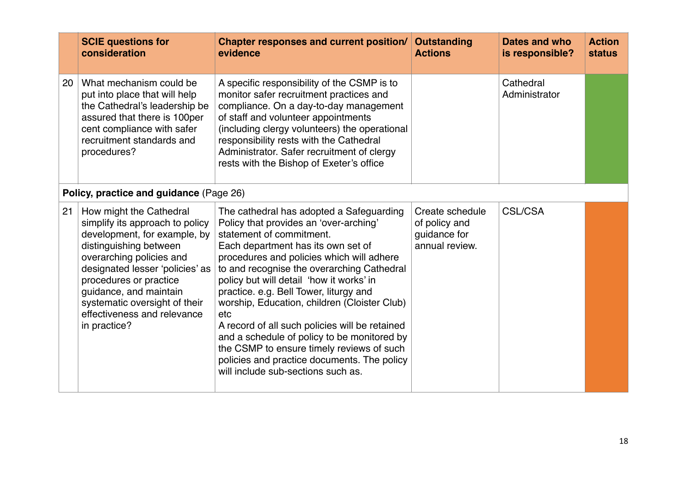|    | <b>SCIE questions for</b><br>consideration                                                                                                                                                                                                                                                                              | <b>Chapter responses and current position/</b><br>evidence                                                                                                                                                                                                                                                                                                                                                                                                                                                                                                                                                                      | <b>Outstanding</b><br><b>Actions</b>                               | Dates and who<br>is responsible? | <b>Action</b><br><b>status</b> |
|----|-------------------------------------------------------------------------------------------------------------------------------------------------------------------------------------------------------------------------------------------------------------------------------------------------------------------------|---------------------------------------------------------------------------------------------------------------------------------------------------------------------------------------------------------------------------------------------------------------------------------------------------------------------------------------------------------------------------------------------------------------------------------------------------------------------------------------------------------------------------------------------------------------------------------------------------------------------------------|--------------------------------------------------------------------|----------------------------------|--------------------------------|
| 20 | What mechanism could be<br>put into place that will help<br>the Cathedral's leadership be<br>assured that there is 100per<br>cent compliance with safer<br>recruitment standards and<br>procedures?                                                                                                                     | A specific responsibility of the CSMP is to<br>monitor safer recruitment practices and<br>compliance. On a day-to-day management<br>of staff and volunteer appointments<br>(including clergy volunteers) the operational<br>responsibility rests with the Cathedral<br>Administrator. Safer recruitment of clergy<br>rests with the Bishop of Exeter's office                                                                                                                                                                                                                                                                   |                                                                    | Cathedral<br>Administrator       |                                |
|    | Policy, practice and guidance (Page 26)                                                                                                                                                                                                                                                                                 |                                                                                                                                                                                                                                                                                                                                                                                                                                                                                                                                                                                                                                 |                                                                    |                                  |                                |
| 21 | How might the Cathedral<br>simplify its approach to policy<br>development, for example, by<br>distinguishing between<br>overarching policies and<br>designated lesser 'policies' as<br>procedures or practice<br>guidance, and maintain<br>systematic oversight of their<br>effectiveness and relevance<br>in practice? | The cathedral has adopted a Safeguarding<br>Policy that provides an 'over-arching'<br>statement of commitment.<br>Each department has its own set of<br>procedures and policies which will adhere<br>to and recognise the overarching Cathedral<br>policy but will detail 'how it works' in<br>practice. e.g. Bell Tower, liturgy and<br>worship, Education, children (Cloister Club)<br>etc<br>A record of all such policies will be retained<br>and a schedule of policy to be monitored by<br>the CSMP to ensure timely reviews of such<br>policies and practice documents. The policy<br>will include sub-sections such as. | Create schedule<br>of policy and<br>guidance for<br>annual review. | <b>CSL/CSA</b>                   |                                |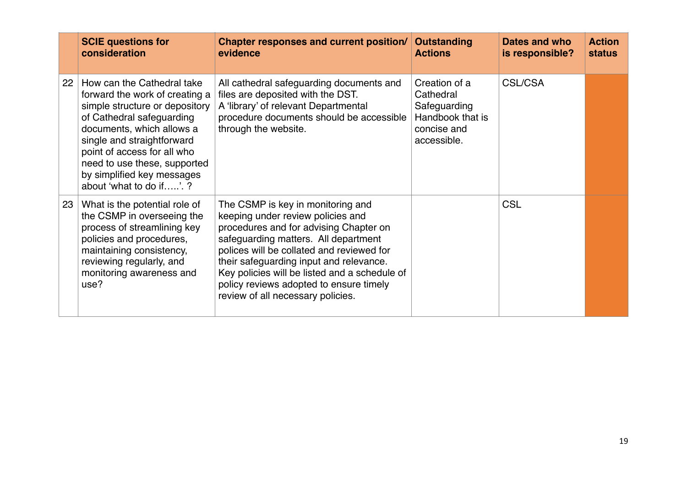|    | <b>SCIE questions for</b><br>consideration                                                                                                                                                                                                                                                                     | Chapter responses and current position/<br>evidence                                                                                                                                                                                                                                                                                                                               | <b>Outstanding</b><br><b>Actions</b>                                                         | Dates and who<br>is responsible? | <b>Action</b><br><b>status</b> |
|----|----------------------------------------------------------------------------------------------------------------------------------------------------------------------------------------------------------------------------------------------------------------------------------------------------------------|-----------------------------------------------------------------------------------------------------------------------------------------------------------------------------------------------------------------------------------------------------------------------------------------------------------------------------------------------------------------------------------|----------------------------------------------------------------------------------------------|----------------------------------|--------------------------------|
| 22 | How can the Cathedral take<br>forward the work of creating a<br>simple structure or depository<br>of Cathedral safeguarding<br>documents, which allows a<br>single and straightforward<br>point of access for all who<br>need to use these, supported<br>by simplified key messages<br>about 'what to do if'.? | All cathedral safeguarding documents and<br>files are deposited with the DST.<br>A 'library' of relevant Departmental<br>procedure documents should be accessible<br>through the website.                                                                                                                                                                                         | Creation of a<br>Cathedral<br>Safeguarding<br>Handbook that is<br>concise and<br>accessible. | <b>CSL/CSA</b>                   |                                |
|    | 23   What is the potential role of<br>the CSMP in overseeing the<br>process of streamlining key<br>policies and procedures,<br>maintaining consistency,<br>reviewing regularly, and<br>monitoring awareness and<br>use?                                                                                        | The CSMP is key in monitoring and<br>keeping under review policies and<br>procedures and for advising Chapter on<br>safeguarding matters. All department<br>polices will be collated and reviewed for<br>their safeguarding input and relevance.<br>Key policies will be listed and a schedule of<br>policy reviews adopted to ensure timely<br>review of all necessary policies. |                                                                                              | <b>CSL</b>                       |                                |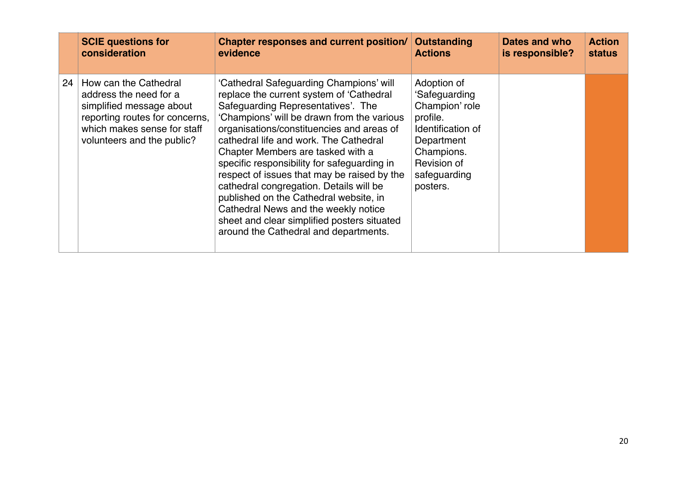|    | <b>SCIE questions for</b>                                                                                                                                                  | Chapter responses and current position/                                                                                                                                                                                                                                                                                                                                                                                                                                                                                                                                                                                | <b>Outstanding</b>                                                                                                                                     | Dates and who   | <b>Action</b> |
|----|----------------------------------------------------------------------------------------------------------------------------------------------------------------------------|------------------------------------------------------------------------------------------------------------------------------------------------------------------------------------------------------------------------------------------------------------------------------------------------------------------------------------------------------------------------------------------------------------------------------------------------------------------------------------------------------------------------------------------------------------------------------------------------------------------------|--------------------------------------------------------------------------------------------------------------------------------------------------------|-----------------|---------------|
|    | consideration                                                                                                                                                              | evidence                                                                                                                                                                                                                                                                                                                                                                                                                                                                                                                                                                                                               | <b>Actions</b>                                                                                                                                         | is responsible? | <b>status</b> |
| 24 | How can the Cathedral<br>address the need for a<br>simplified message about<br>reporting routes for concerns,<br>which makes sense for staff<br>volunteers and the public? | 'Cathedral Safeguarding Champions' will<br>replace the current system of 'Cathedral<br>Safeguarding Representatives'. The<br>'Champions' will be drawn from the various<br>organisations/constituencies and areas of<br>cathedral life and work. The Cathedral<br>Chapter Members are tasked with a<br>specific responsibility for safeguarding in<br>respect of issues that may be raised by the<br>cathedral congregation. Details will be<br>published on the Cathedral website, in<br>Cathedral News and the weekly notice<br>sheet and clear simplified posters situated<br>around the Cathedral and departments. | Adoption of<br>'Safeguarding<br>Champion' role<br>profile.<br>Identification of<br>Department<br>Champions.<br>Revision of<br>safeguarding<br>posters. |                 |               |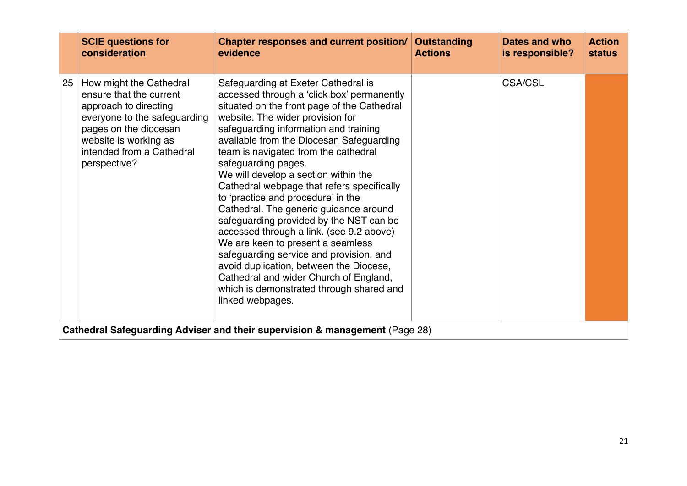| <b>SCIE questions for</b>                                                                                                                                                                                        | Chapter responses and current position/                                                                                                                                                                                                                                                                                                                                                                                                                                                                                                                                                                                                                                                                                                                                                                                    | Outstanding    | Dates and who   | <b>Action</b> |
|------------------------------------------------------------------------------------------------------------------------------------------------------------------------------------------------------------------|----------------------------------------------------------------------------------------------------------------------------------------------------------------------------------------------------------------------------------------------------------------------------------------------------------------------------------------------------------------------------------------------------------------------------------------------------------------------------------------------------------------------------------------------------------------------------------------------------------------------------------------------------------------------------------------------------------------------------------------------------------------------------------------------------------------------------|----------------|-----------------|---------------|
| consideration                                                                                                                                                                                                    | evidence                                                                                                                                                                                                                                                                                                                                                                                                                                                                                                                                                                                                                                                                                                                                                                                                                   | <b>Actions</b> | is responsible? | <b>status</b> |
| How might the Cathedral<br>25<br>ensure that the current<br>approach to directing<br>everyone to the safeguarding<br>pages on the diocesan<br>website is working as<br>intended from a Cathedral<br>perspective? | Safeguarding at Exeter Cathedral is<br>accessed through a 'click box' permanently<br>situated on the front page of the Cathedral<br>website. The wider provision for<br>safeguarding information and training<br>available from the Diocesan Safeguarding<br>team is navigated from the cathedral<br>safeguarding pages.<br>We will develop a section within the<br>Cathedral webpage that refers specifically<br>to 'practice and procedure' in the<br>Cathedral. The generic guidance around<br>safeguarding provided by the NST can be<br>accessed through a link. (see 9.2 above)<br>We are keen to present a seamless<br>safeguarding service and provision, and<br>avoid duplication, between the Diocese,<br>Cathedral and wider Church of England,<br>which is demonstrated through shared and<br>linked webpages. |                | <b>CSA/CSL</b>  |               |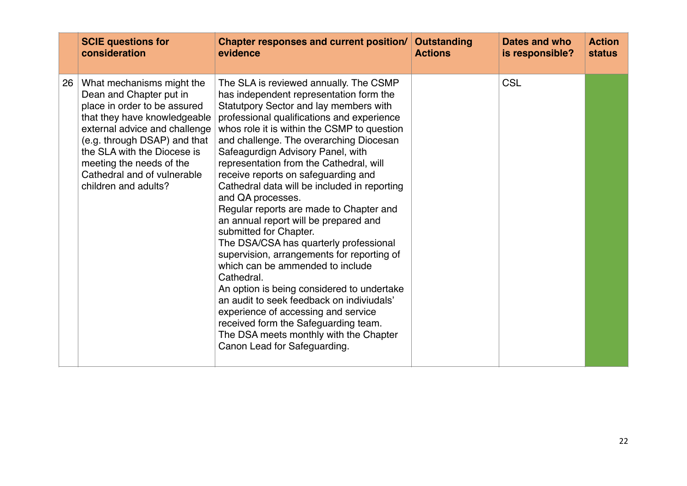|    | <b>SCIE questions for</b>                                                                                                                                                                                                                                                                               | Chapter responses and current position/                                                                                                                                                                                                                                                                                                                                                                                                                                                                                                                                                                                                                                                                                                                                                                                                                                                                                                                                     | <b>Outstanding</b> | Dates and who   | <b>Action</b> |
|----|---------------------------------------------------------------------------------------------------------------------------------------------------------------------------------------------------------------------------------------------------------------------------------------------------------|-----------------------------------------------------------------------------------------------------------------------------------------------------------------------------------------------------------------------------------------------------------------------------------------------------------------------------------------------------------------------------------------------------------------------------------------------------------------------------------------------------------------------------------------------------------------------------------------------------------------------------------------------------------------------------------------------------------------------------------------------------------------------------------------------------------------------------------------------------------------------------------------------------------------------------------------------------------------------------|--------------------|-----------------|---------------|
|    | consideration                                                                                                                                                                                                                                                                                           | evidence                                                                                                                                                                                                                                                                                                                                                                                                                                                                                                                                                                                                                                                                                                                                                                                                                                                                                                                                                                    | <b>Actions</b>     | is responsible? | <b>status</b> |
| 26 | What mechanisms might the<br>Dean and Chapter put in<br>place in order to be assured<br>that they have knowledgeable<br>external advice and challenge<br>(e.g. through DSAP) and that<br>the SLA with the Diocese is<br>meeting the needs of the<br>Cathedral and of vulnerable<br>children and adults? | The SLA is reviewed annually. The CSMP<br>has independent representation form the<br>Statutpory Sector and lay members with<br>professional qualifications and experience<br>whos role it is within the CSMP to question<br>and challenge. The overarching Diocesan<br>Safeagurdign Advisory Panel, with<br>representation from the Cathedral, will<br>receive reports on safeguarding and<br>Cathedral data will be included in reporting<br>and QA processes.<br>Regular reports are made to Chapter and<br>an annual report will be prepared and<br>submitted for Chapter.<br>The DSA/CSA has quarterly professional<br>supervision, arrangements for reporting of<br>which can be ammended to include<br>Cathedral.<br>An option is being considered to undertake<br>an audit to seek feedback on indiviudals'<br>experience of accessing and service<br>received form the Safeguarding team.<br>The DSA meets monthly with the Chapter<br>Canon Lead for Safeguarding. |                    | <b>CSL</b>      |               |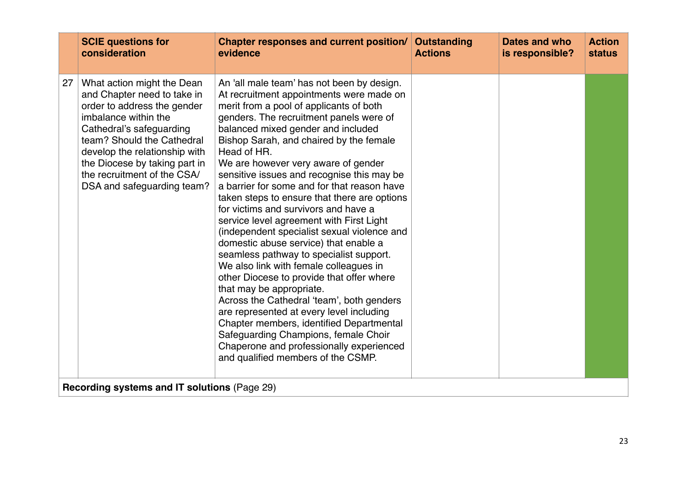|    | <b>SCIE questions for</b><br>consideration                                                                                                                                                                                                                                                                | <b>Chapter responses and current position/</b><br>evidence                                                                                                                                                                                                                                                                                                                                                                                                                                                                                                                                                                                                                                                                                                                                                                                                                                                                                                                                                                                                                | <b>Outstanding</b><br><b>Actions</b> | <b>Dates and who</b><br>is responsible? | <b>Action</b><br><b>status</b> |  |  |
|----|-----------------------------------------------------------------------------------------------------------------------------------------------------------------------------------------------------------------------------------------------------------------------------------------------------------|---------------------------------------------------------------------------------------------------------------------------------------------------------------------------------------------------------------------------------------------------------------------------------------------------------------------------------------------------------------------------------------------------------------------------------------------------------------------------------------------------------------------------------------------------------------------------------------------------------------------------------------------------------------------------------------------------------------------------------------------------------------------------------------------------------------------------------------------------------------------------------------------------------------------------------------------------------------------------------------------------------------------------------------------------------------------------|--------------------------------------|-----------------------------------------|--------------------------------|--|--|
| 27 | What action might the Dean<br>and Chapter need to take in<br>order to address the gender<br>imbalance within the<br>Cathedral's safeguarding<br>team? Should the Cathedral<br>develop the relationship with<br>the Diocese by taking part in<br>the recruitment of the CSA/<br>DSA and safeguarding team? | An 'all male team' has not been by design.<br>At recruitment appointments were made on<br>merit from a pool of applicants of both<br>genders. The recruitment panels were of<br>balanced mixed gender and included<br>Bishop Sarah, and chaired by the female<br>Head of HR.<br>We are however very aware of gender<br>sensitive issues and recognise this may be<br>a barrier for some and for that reason have<br>taken steps to ensure that there are options<br>for victims and survivors and have a<br>service level agreement with First Light<br>(independent specialist sexual violence and<br>domestic abuse service) that enable a<br>seamless pathway to specialist support.<br>We also link with female colleagues in<br>other Diocese to provide that offer where<br>that may be appropriate.<br>Across the Cathedral 'team', both genders<br>are represented at every level including<br>Chapter members, identified Departmental<br>Safeguarding Champions, female Choir<br>Chaperone and professionally experienced<br>and qualified members of the CSMP. |                                      |                                         |                                |  |  |
|    | Recording systems and IT solutions (Page 29)                                                                                                                                                                                                                                                              |                                                                                                                                                                                                                                                                                                                                                                                                                                                                                                                                                                                                                                                                                                                                                                                                                                                                                                                                                                                                                                                                           |                                      |                                         |                                |  |  |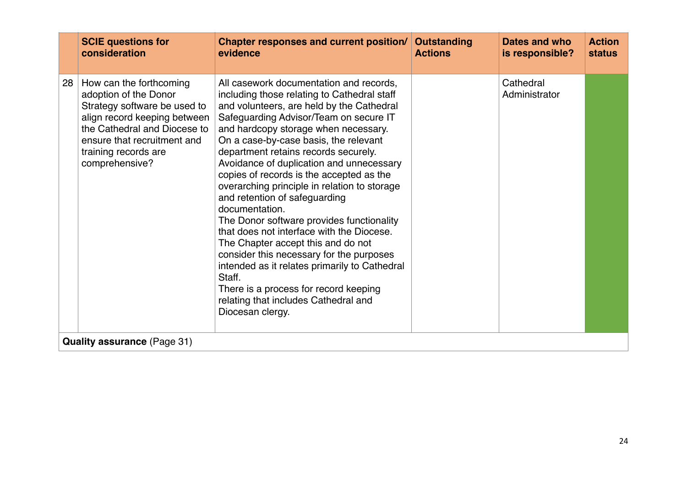|    | <b>SCIE questions for</b><br>consideration                                                                                                                                                                                | Chapter responses and current position/<br>evidence                                                                                                                                                                                                                                                                                                                                                                                                                                                                                                                                                                                                                                                                                                                                                                                           | <b>Outstanding</b><br><b>Actions</b> | Dates and who<br>is responsible? | <b>Action</b><br><b>status</b> |  |  |  |
|----|---------------------------------------------------------------------------------------------------------------------------------------------------------------------------------------------------------------------------|-----------------------------------------------------------------------------------------------------------------------------------------------------------------------------------------------------------------------------------------------------------------------------------------------------------------------------------------------------------------------------------------------------------------------------------------------------------------------------------------------------------------------------------------------------------------------------------------------------------------------------------------------------------------------------------------------------------------------------------------------------------------------------------------------------------------------------------------------|--------------------------------------|----------------------------------|--------------------------------|--|--|--|
| 28 | How can the forthcoming<br>adoption of the Donor<br>Strategy software be used to<br>align record keeping between<br>the Cathedral and Diocese to<br>ensure that recruitment and<br>training records are<br>comprehensive? | All casework documentation and records,<br>including those relating to Cathedral staff<br>and volunteers, are held by the Cathedral<br>Safeguarding Advisor/Team on secure IT<br>and hardcopy storage when necessary.<br>On a case-by-case basis, the relevant<br>department retains records securely.<br>Avoidance of duplication and unnecessary<br>copies of records is the accepted as the<br>overarching principle in relation to storage<br>and retention of safeguarding<br>documentation.<br>The Donor software provides functionality<br>that does not interface with the Diocese.<br>The Chapter accept this and do not<br>consider this necessary for the purposes<br>intended as it relates primarily to Cathedral<br>Staff.<br>There is a process for record keeping<br>relating that includes Cathedral and<br>Diocesan clergy. |                                      | Cathedral<br>Administrator       |                                |  |  |  |
|    | <b>Quality assurance (Page 31)</b>                                                                                                                                                                                        |                                                                                                                                                                                                                                                                                                                                                                                                                                                                                                                                                                                                                                                                                                                                                                                                                                               |                                      |                                  |                                |  |  |  |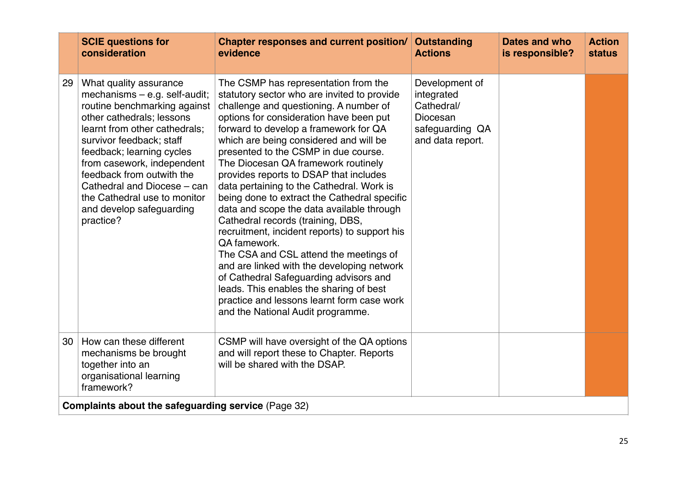|    | <b>SCIE questions for</b><br>consideration                                                                                                                                                                                                                                                                                                                                          | <b>Chapter responses and current position/</b><br>evidence                                                                                                                                                                                                                                                                                                                                                                                                                                                                                                                                                                                                                                                                                                                                                                                                                                           | <b>Outstanding</b><br><b>Actions</b>                                                          | <b>Dates and who</b><br>is responsible? | <b>Action</b><br><b>status</b> |
|----|-------------------------------------------------------------------------------------------------------------------------------------------------------------------------------------------------------------------------------------------------------------------------------------------------------------------------------------------------------------------------------------|------------------------------------------------------------------------------------------------------------------------------------------------------------------------------------------------------------------------------------------------------------------------------------------------------------------------------------------------------------------------------------------------------------------------------------------------------------------------------------------------------------------------------------------------------------------------------------------------------------------------------------------------------------------------------------------------------------------------------------------------------------------------------------------------------------------------------------------------------------------------------------------------------|-----------------------------------------------------------------------------------------------|-----------------------------------------|--------------------------------|
| 29 | What quality assurance<br>mechanisms $-$ e.g. self-audit;<br>routine benchmarking against<br>other cathedrals; lessons<br>learnt from other cathedrals:<br>survivor feedback; staff<br>feedback; learning cycles<br>from casework, independent<br>feedback from outwith the<br>Cathedral and Diocese - can<br>the Cathedral use to monitor<br>and develop safeguarding<br>practice? | The CSMP has representation from the<br>statutory sector who are invited to provide<br>challenge and questioning. A number of<br>options for consideration have been put<br>forward to develop a framework for QA<br>which are being considered and will be<br>presented to the CSMP in due course.<br>The Diocesan QA framework routinely<br>provides reports to DSAP that includes<br>data pertaining to the Cathedral. Work is<br>being done to extract the Cathedral specific<br>data and scope the data available through<br>Cathedral records (training, DBS,<br>recruitment, incident reports) to support his<br>QA famework.<br>The CSA and CSL attend the meetings of<br>and are linked with the developing network<br>of Cathedral Safeguarding advisors and<br>leads. This enables the sharing of best<br>practice and lessons learnt form case work<br>and the National Audit programme. | Development of<br>integrated<br>Cathedral/<br>Diocesan<br>safeguarding QA<br>and data report. |                                         |                                |
| 30 | How can these different<br>mechanisms be brought<br>together into an<br>organisational learning<br>framework?                                                                                                                                                                                                                                                                       | CSMP will have oversight of the QA options<br>and will report these to Chapter. Reports<br>will be shared with the DSAP.                                                                                                                                                                                                                                                                                                                                                                                                                                                                                                                                                                                                                                                                                                                                                                             |                                                                                               |                                         |                                |
|    | <b>Complaints about the safeguarding service (Page 32)</b>                                                                                                                                                                                                                                                                                                                          |                                                                                                                                                                                                                                                                                                                                                                                                                                                                                                                                                                                                                                                                                                                                                                                                                                                                                                      |                                                                                               |                                         |                                |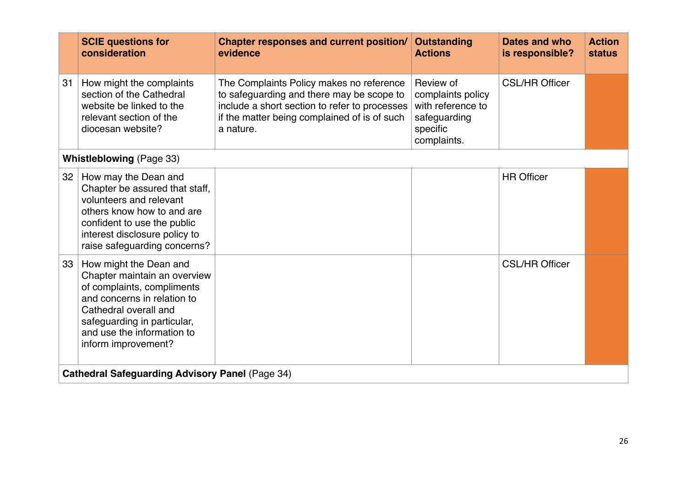|                 | <b>SCIE questions for</b><br>consideration                                                                                                                                                                                       | <b>Chapter responses and current position/</b><br>evidence                                                                                                                                          | <b>Outstanding</b><br><b>Actions</b>                                                           | Dates and who<br>is responsible? | <b>Action</b><br><b>status</b> |
|-----------------|----------------------------------------------------------------------------------------------------------------------------------------------------------------------------------------------------------------------------------|-----------------------------------------------------------------------------------------------------------------------------------------------------------------------------------------------------|------------------------------------------------------------------------------------------------|----------------------------------|--------------------------------|
| 31              | How might the complaints<br>section of the Cathedral<br>website be linked to the<br>relevant section of the<br>diocesan website?                                                                                                 | The Complaints Policy makes no reference<br>to safeguarding and there may be scope to<br>include a short section to refer to processes<br>if the matter being complained of is of such<br>a nature. | Review of<br>complaints policy<br>with reference to<br>safeguarding<br>specific<br>complaints. | <b>CSL/HR Officer</b>            |                                |
|                 | <b>Whistleblowing (Page 33)</b>                                                                                                                                                                                                  |                                                                                                                                                                                                     |                                                                                                |                                  |                                |
| 32              | How may the Dean and<br>Chapter be assured that staff,<br>volunteers and relevant<br>others know how to and are<br>confident to use the public<br>interest disclosure policy to<br>raise safeguarding concerns?                  |                                                                                                                                                                                                     |                                                                                                | <b>HR Officer</b>                |                                |
| 33 <sup>°</sup> | How might the Dean and<br>Chapter maintain an overview<br>of complaints, compliments<br>and concerns in relation to<br>Cathedral overall and<br>safeguarding in particular,<br>and use the information to<br>inform improvement? |                                                                                                                                                                                                     |                                                                                                | <b>CSL/HR Officer</b>            |                                |
|                 | <b>Cathedral Safeguarding Advisory Panel (Page 34)</b>                                                                                                                                                                           |                                                                                                                                                                                                     |                                                                                                |                                  |                                |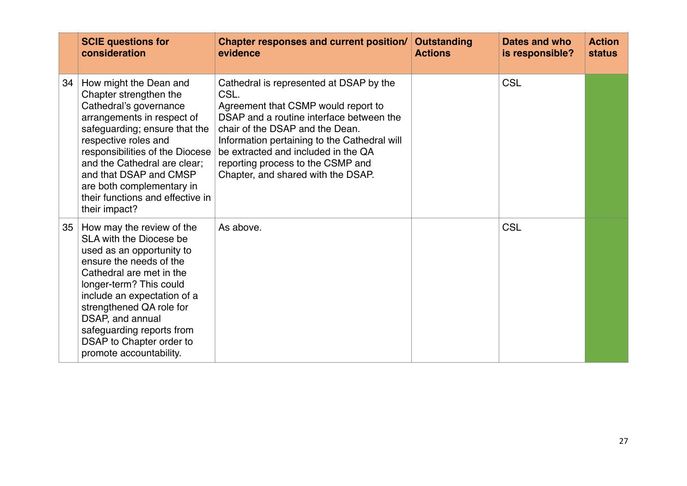|    | <b>SCIE questions for</b><br>consideration                                                                                                                                                                                                                                                                                                       | Chapter responses and current position/<br>evidence                                                                                                                                                                                                                                                                                     | <b>Outstanding</b><br><b>Actions</b> | Dates and who<br>is responsible? | <b>Action</b><br><b>status</b> |
|----|--------------------------------------------------------------------------------------------------------------------------------------------------------------------------------------------------------------------------------------------------------------------------------------------------------------------------------------------------|-----------------------------------------------------------------------------------------------------------------------------------------------------------------------------------------------------------------------------------------------------------------------------------------------------------------------------------------|--------------------------------------|----------------------------------|--------------------------------|
| 34 | How might the Dean and<br>Chapter strengthen the<br>Cathedral's governance<br>arrangements in respect of<br>safeguarding; ensure that the<br>respective roles and<br>responsibilities of the Diocese<br>and the Cathedral are clear;<br>and that DSAP and CMSP<br>are both complementary in<br>their functions and effective in<br>their impact? | Cathedral is represented at DSAP by the<br>CSL.<br>Agreement that CSMP would report to<br>DSAP and a routine interface between the<br>chair of the DSAP and the Dean.<br>Information pertaining to the Cathedral will<br>be extracted and included in the QA<br>reporting process to the CSMP and<br>Chapter, and shared with the DSAP. |                                      | <b>CSL</b>                       |                                |
| 35 | How may the review of the<br>SLA with the Diocese be<br>used as an opportunity to<br>ensure the needs of the<br>Cathedral are met in the<br>longer-term? This could<br>include an expectation of a<br>strengthened QA role for<br>DSAP, and annual<br>safeguarding reports from<br>DSAP to Chapter order to<br>promote accountability.           | As above.                                                                                                                                                                                                                                                                                                                               |                                      | <b>CSL</b>                       |                                |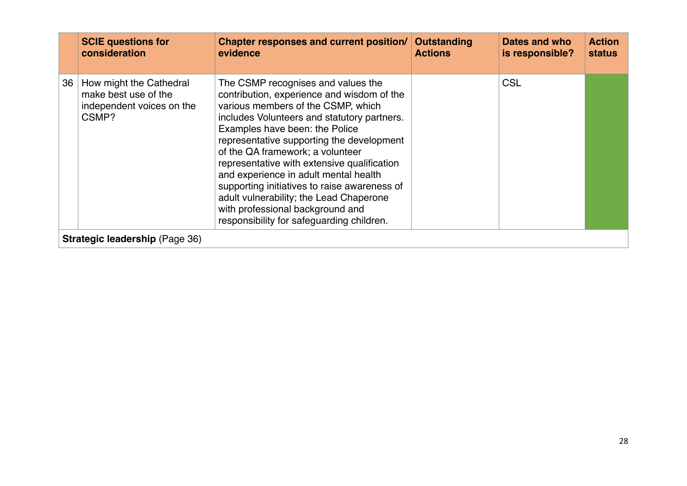|    | <b>SCIE questions for</b><br>consideration                                            | Chapter responses and current position/<br>evidence                                                                                                                                                                                                                                                                                                                                                                                                                                                                                                          | Outstanding<br><b>Actions</b> | Dates and who<br>is responsible? | <b>Action</b><br><b>status</b> |  |  |
|----|---------------------------------------------------------------------------------------|--------------------------------------------------------------------------------------------------------------------------------------------------------------------------------------------------------------------------------------------------------------------------------------------------------------------------------------------------------------------------------------------------------------------------------------------------------------------------------------------------------------------------------------------------------------|-------------------------------|----------------------------------|--------------------------------|--|--|
| 36 | How might the Cathedral<br>make best use of the<br>independent voices on the<br>CSMP? | The CSMP recognises and values the<br>contribution, experience and wisdom of the<br>various members of the CSMP, which<br>includes Volunteers and statutory partners.<br>Examples have been: the Police<br>representative supporting the development<br>of the QA framework; a volunteer<br>representative with extensive qualification<br>and experience in adult mental health<br>supporting initiatives to raise awareness of<br>adult vulnerability; the Lead Chaperone<br>with professional background and<br>responsibility for safeguarding children. |                               | <b>CSL</b>                       |                                |  |  |
|    | Strategic leadership (Page 36)                                                        |                                                                                                                                                                                                                                                                                                                                                                                                                                                                                                                                                              |                               |                                  |                                |  |  |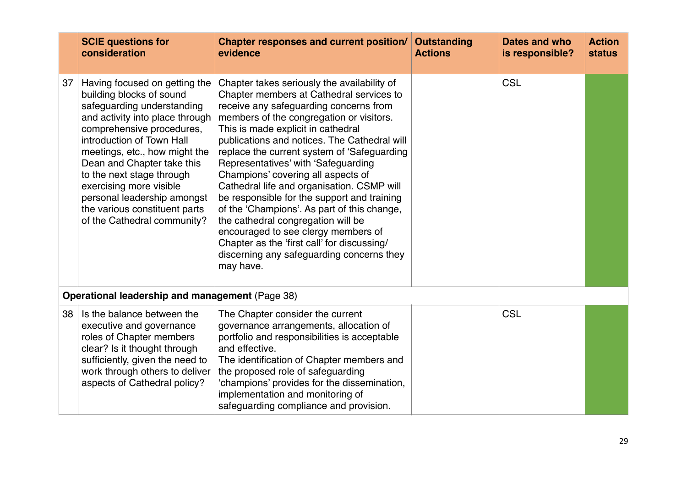|    | <b>SCIE questions for</b><br>consideration                                                                                                                                                                                                                                                                                                                                                                 | <b>Chapter responses and current position/</b><br>evidence                                                                                                                                                                                                                                                                                                                                                                                                                                                                                                                                                                                                                                                                        | <b>Outstanding</b><br><b>Actions</b> | Dates and who<br>is responsible? | <b>Action</b><br><b>status</b> |  |  |
|----|------------------------------------------------------------------------------------------------------------------------------------------------------------------------------------------------------------------------------------------------------------------------------------------------------------------------------------------------------------------------------------------------------------|-----------------------------------------------------------------------------------------------------------------------------------------------------------------------------------------------------------------------------------------------------------------------------------------------------------------------------------------------------------------------------------------------------------------------------------------------------------------------------------------------------------------------------------------------------------------------------------------------------------------------------------------------------------------------------------------------------------------------------------|--------------------------------------|----------------------------------|--------------------------------|--|--|
| 37 | Having focused on getting the<br>building blocks of sound<br>safeguarding understanding<br>and activity into place through<br>comprehensive procedures,<br>introduction of Town Hall<br>meetings, etc., how might the<br>Dean and Chapter take this<br>to the next stage through<br>exercising more visible<br>personal leadership amongst<br>the various constituent parts<br>of the Cathedral community? | Chapter takes seriously the availability of<br>Chapter members at Cathedral services to<br>receive any safeguarding concerns from<br>members of the congregation or visitors.<br>This is made explicit in cathedral<br>publications and notices. The Cathedral will<br>replace the current system of 'Safeguarding<br>Representatives' with 'Safeguarding<br>Champions' covering all aspects of<br>Cathedral life and organisation. CSMP will<br>be responsible for the support and training<br>of the 'Champions'. As part of this change,<br>the cathedral congregation will be<br>encouraged to see clergy members of<br>Chapter as the 'first call' for discussing/<br>discerning any safeguarding concerns they<br>may have. |                                      | <b>CSL</b>                       |                                |  |  |
|    | Operational leadership and management (Page 38)                                                                                                                                                                                                                                                                                                                                                            |                                                                                                                                                                                                                                                                                                                                                                                                                                                                                                                                                                                                                                                                                                                                   |                                      |                                  |                                |  |  |
| 38 | Is the balance between the<br>executive and governance<br>roles of Chapter members<br>clear? Is it thought through<br>sufficiently, given the need to<br>work through others to deliver<br>aspects of Cathedral policy?                                                                                                                                                                                    | The Chapter consider the current<br>governance arrangements, allocation of<br>portfolio and responsibilities is acceptable<br>and effective.<br>The identification of Chapter members and<br>the proposed role of safeguarding<br>'champions' provides for the dissemination,<br>implementation and monitoring of<br>safeguarding compliance and provision.                                                                                                                                                                                                                                                                                                                                                                       |                                      | <b>CSL</b>                       |                                |  |  |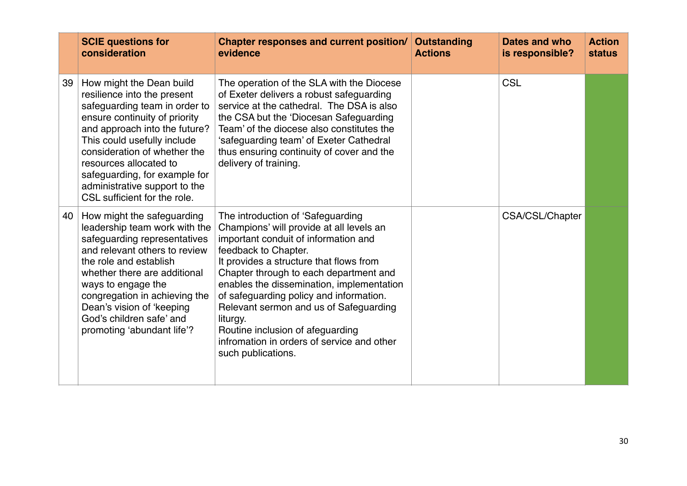|    | <b>SCIE questions for</b><br>consideration                                                                                                                                                                                                                                                                                                            | <b>Chapter responses and current position/</b><br>evidence                                                                                                                                                                                                                                                                                                                                                                                                                               | <b>Outstanding</b><br><b>Actions</b> | Dates and who<br>is responsible? | <b>Action</b><br><b>status</b> |
|----|-------------------------------------------------------------------------------------------------------------------------------------------------------------------------------------------------------------------------------------------------------------------------------------------------------------------------------------------------------|------------------------------------------------------------------------------------------------------------------------------------------------------------------------------------------------------------------------------------------------------------------------------------------------------------------------------------------------------------------------------------------------------------------------------------------------------------------------------------------|--------------------------------------|----------------------------------|--------------------------------|
| 39 | How might the Dean build<br>resilience into the present<br>safeguarding team in order to<br>ensure continuity of priority<br>and approach into the future?<br>This could usefully include<br>consideration of whether the<br>resources allocated to<br>safeguarding, for example for<br>administrative support to the<br>CSL sufficient for the role. | The operation of the SLA with the Diocese<br>of Exeter delivers a robust safeguarding<br>service at the cathedral. The DSA is also<br>the CSA but the 'Diocesan Safeguarding<br>Team' of the diocese also constitutes the<br>'safeguarding team' of Exeter Cathedral<br>thus ensuring continuity of cover and the<br>delivery of training.                                                                                                                                               |                                      | <b>CSL</b>                       |                                |
| 40 | How might the safeguarding<br>leadership team work with the<br>safeguarding representatives<br>and relevant others to review<br>the role and establish<br>whether there are additional<br>ways to engage the<br>congregation in achieving the<br>Dean's vision of 'keeping<br>God's children safe' and<br>promoting 'abundant life'?                  | The introduction of 'Safeguarding<br>Champions' will provide at all levels an<br>important conduit of information and<br>feedback to Chapter.<br>It provides a structure that flows from<br>Chapter through to each department and<br>enables the dissemination, implementation<br>of safeguarding policy and information.<br>Relevant sermon and us of Safeguarding<br>liturgy.<br>Routine inclusion of afeguarding<br>infromation in orders of service and other<br>such publications. |                                      | CSA/CSL/Chapter                  |                                |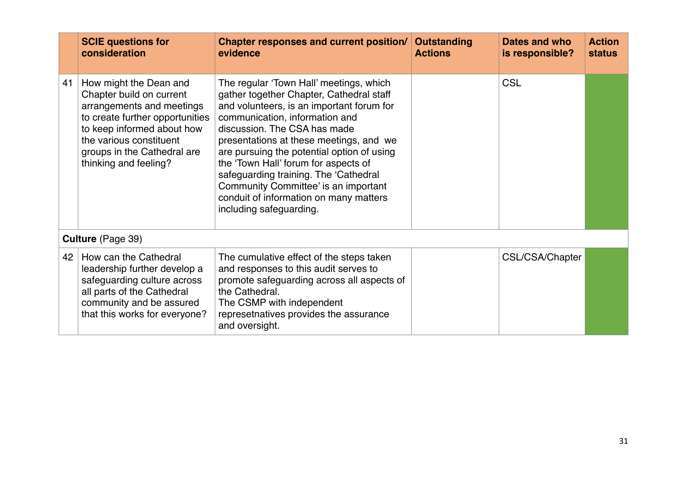|    | <b>SCIE questions for</b><br>consideration                                                                                                                                                                                          | <b>Chapter responses and current position/</b><br>evidence                                                                                                                                                                                                                                                                                                                                                                                                                                | <b>Outstanding</b><br><b>Actions</b> | Dates and who<br>is responsible? | <b>Action</b><br><b>status</b> |  |  |
|----|-------------------------------------------------------------------------------------------------------------------------------------------------------------------------------------------------------------------------------------|-------------------------------------------------------------------------------------------------------------------------------------------------------------------------------------------------------------------------------------------------------------------------------------------------------------------------------------------------------------------------------------------------------------------------------------------------------------------------------------------|--------------------------------------|----------------------------------|--------------------------------|--|--|
| 41 | How might the Dean and<br>Chapter build on current<br>arrangements and meetings<br>to create further opportunities<br>to keep informed about how<br>the various constituent<br>groups in the Cathedral are<br>thinking and feeling? | The regular 'Town Hall' meetings, which<br>gather together Chapter, Cathedral staff<br>and volunteers, is an important forum for<br>communication, information and<br>discussion. The CSA has made<br>presentations at these meetings, and we<br>are pursuing the potential option of using<br>the 'Town Hall' forum for aspects of<br>safeguarding training. The 'Cathedral<br>Community Committee' is an important<br>conduit of information on many matters<br>including safeguarding. |                                      | <b>CSL</b>                       |                                |  |  |
|    | <b>Culture</b> (Page 39)                                                                                                                                                                                                            |                                                                                                                                                                                                                                                                                                                                                                                                                                                                                           |                                      |                                  |                                |  |  |
| 42 | How can the Cathedral<br>leadership further develop a<br>safeguarding culture across<br>all parts of the Cathedral<br>community and be assured<br>that this works for everyone?                                                     | The cumulative effect of the steps taken<br>and responses to this audit serves to<br>promote safeguarding across all aspects of<br>the Cathedral.<br>The CSMP with independent<br>represetnatives provides the assurance<br>and oversight.                                                                                                                                                                                                                                                |                                      | CSL/CSA/Chapter                  |                                |  |  |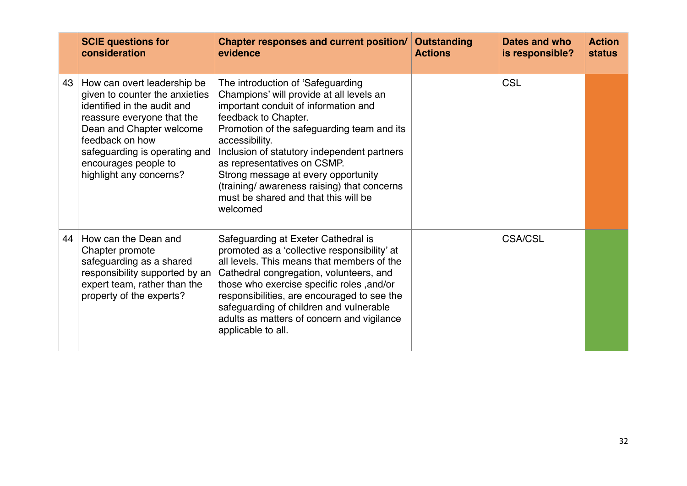|    | <b>SCIE questions for</b><br>consideration                                                                                                                                                                                                                    | <b>Chapter responses and current position/</b><br>evidence                                                                                                                                                                                                                                                                                                                                                                            | <b>Outstanding</b><br><b>Actions</b> | Dates and who<br>is responsible? | <b>Action</b><br><b>status</b> |
|----|---------------------------------------------------------------------------------------------------------------------------------------------------------------------------------------------------------------------------------------------------------------|---------------------------------------------------------------------------------------------------------------------------------------------------------------------------------------------------------------------------------------------------------------------------------------------------------------------------------------------------------------------------------------------------------------------------------------|--------------------------------------|----------------------------------|--------------------------------|
| 43 | How can overt leadership be<br>given to counter the anxieties<br>identified in the audit and<br>reassure everyone that the<br>Dean and Chapter welcome<br>feedback on how<br>safeguarding is operating and<br>encourages people to<br>highlight any concerns? | The introduction of 'Safeguarding<br>Champions' will provide at all levels an<br>important conduit of information and<br>feedback to Chapter.<br>Promotion of the safeguarding team and its<br>accessibility.<br>Inclusion of statutory independent partners<br>as representatives on CSMP.<br>Strong message at every opportunity<br>(training/ awareness raising) that concerns<br>must be shared and that this will be<br>welcomed |                                      | <b>CSL</b>                       |                                |
| 44 | How can the Dean and<br>Chapter promote<br>safeguarding as a shared<br>responsibility supported by an<br>expert team, rather than the<br>property of the experts?                                                                                             | Safeguarding at Exeter Cathedral is<br>promoted as a 'collective responsibility' at<br>all levels. This means that members of the<br>Cathedral congregation, volunteers, and<br>those who exercise specific roles , and/or<br>responsibilities, are encouraged to see the<br>safeguarding of children and vulnerable<br>adults as matters of concern and vigilance<br>applicable to all.                                              |                                      | <b>CSA/CSL</b>                   |                                |